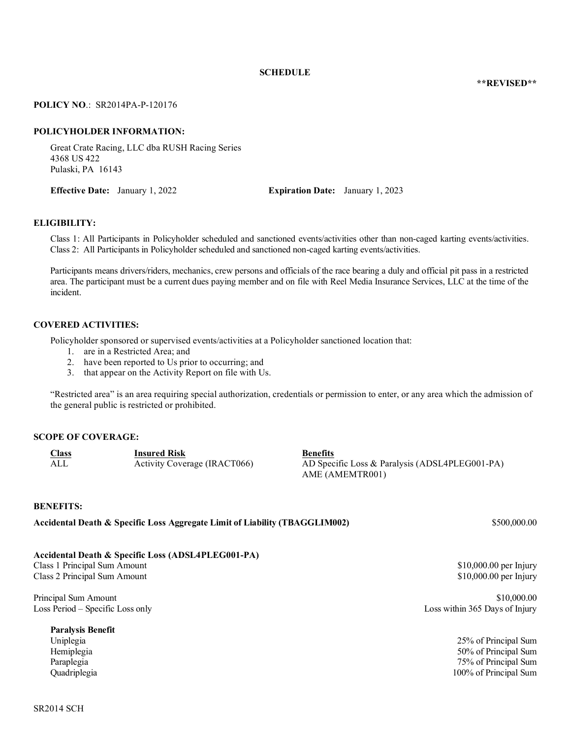#### **SCHEDULE**

**\*\*REVISED\*\***

#### **POLICY NO**.: SR2014PA-P-120176

#### **POLICYHOLDER INFORMATION:**

Great Crate Racing, LLC dba RUSH Racing Series 4368 US 422 Pulaski, PA 16143

**Effective Date:** January 1, 2022 **Expiration Date:** January 1, 2023

#### **ELIGIBILITY:**

Class 1: All Participants in Policyholder scheduled and sanctioned events/activities other than non-caged karting events/activities. Class 2: All Participants in Policyholder scheduled and sanctioned non-caged karting events/activities.

Participants means drivers/riders, mechanics, crew persons and officials of the race bearing a duly and official pit pass in a restricted area. The participant must be a current dues paying member and on file with Reel Media Insurance Services, LLC at the time of the incident.

#### **COVERED ACTIVITIES:**

Policyholder sponsored or supervised events/activities at a Policyholder sanctioned location that:

- 1. are in a Restricted Area; and
- 2. have been reported to Us prior to occurring; and
- 3. that appear on the Activity Report on file with Us.

"Restricted area" is an area requiring special authorization, credentials or permission to enter, or any area which the admission of the general public is restricted or prohibited.

#### **SCOPE OF COVERAGE:**

| <b>Class</b> | <b>Insured Risk</b>          | <b>Benefits</b>                                |
|--------------|------------------------------|------------------------------------------------|
| ALI          | Activity Coverage (IRACT066) | AD Specific Loss & Paralysis (ADSL4PLEG001-PA) |
|              |                              | AME (AMEMTR001)                                |

#### **BENEFITS:**

**Accidental Death & Specific Loss Aggregate Limit of Liability (TBAGGLIM002)** \$500,000.00

### **Accidental Death & Specific Loss (ADSL4PLEG001-PA)**

Class 1 Principal Sum Amount  $$10,000.00$  per Injury Class 2 Principal Sum Amount  $$10,000.00$  per Injury

Principal Sum Amount  $$10,000.00$ Loss Period – Specific Loss only Loss within 365 Days of Injury

**Paralysis Benefit**

Uniplegia 25% of Principal Sum Hemiplegia 50% of Principal Sum Paraplegia 75% of Principal Sum 75% of Principal Sum Quadriplegia 100% of Principal Sum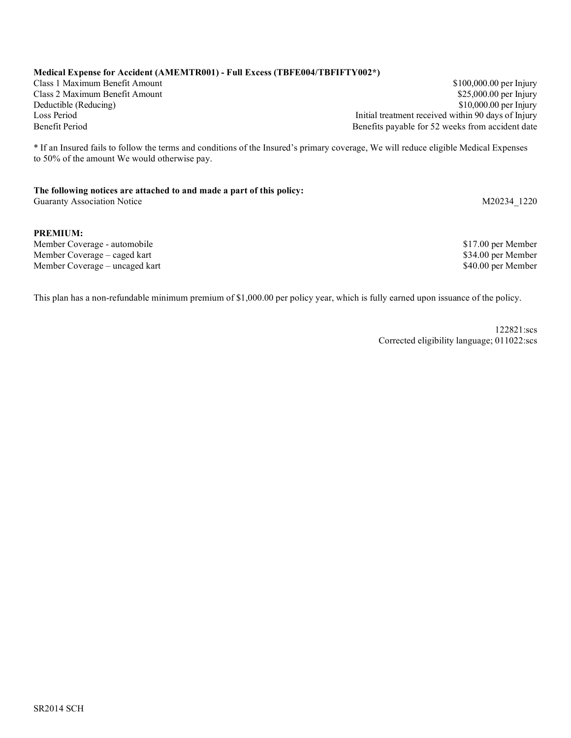#### **Medical Expense for Accident (AMEMTR001) - Full Excess (TBFE004/TBFIFTY002\*)**

Class 1 Maximum Benefit Amount \$100,000.00 per Injury Class 2 Maximum Benefit Amount **\$25,000.00 per Injury** \$25,000.00 per Injury \$25,000.00 per Injury \$25,000.00 per Injury  $$10,000.00$  per Injury Loss Period **Initial treatment received within 90 days of Injury** Initial treatment received within 90 days of Injury Benefit Period Benefits payable for 52 weeks from accident date

\* If an Insured fails to follow the terms and conditions of the Insured's primary coverage, We will reduce eligible Medical Expenses to 50% of the amount We would otherwise pay.

#### **The following notices are attached to and made a part of this policy:** Guaranty Association Notice M20234 1220

#### **PREMIUM:**

Member Coverage - automobile **\$17.00 per Member** \$17.00 per Member Member Coverage – caged kart **\$34.00 per Member**  $\ddot{\textbf{S}}$ Member Coverage – uncaged kart and the state of the state of the state of the state of the state of the S40.00 per Member

This plan has a non-refundable minimum premium of \$1,000.00 per policy year, which is fully earned upon issuance of the policy.

122821:scs Corrected eligibility language; 011022:scs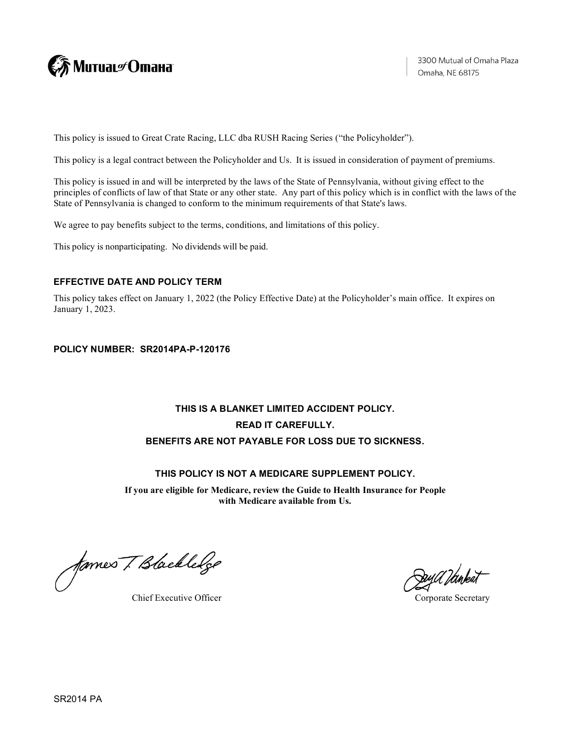

This policy is issued to Great Crate Racing, LLC dba RUSH Racing Series ("the Policyholder").

This policy is a legal contract between the Policyholder and Us. It is issued in consideration of payment of premiums.

This policy is issued in and will be interpreted by the laws of the State of Pennsylvania, without giving effect to the principles of conflicts of law of that State or any other state. Any part of this policy which is in conflict with the laws of the State of Pennsylvania is changed to conform to the minimum requirements of that State's laws.

We agree to pay benefits subject to the terms, conditions, and limitations of this policy.

This policy is nonparticipating. No dividends will be paid.

### **EFFECTIVE DATE AND POLICY TERM**

This policy takes effect on January 1, 2022 (the Policy Effective Date) at the Policyholder's main office. It expires on January 1, 2023.

### **POLICY NUMBER: SR2014PA-P-120176**

# **THIS IS A BLANKET LIMITED ACCIDENT POLICY. READ IT CAREFULLY. BENEFITS ARE NOT PAYABLE FOR LOSS DUE TO SICKNESS.**

### **THIS POLICY IS NOT A MEDICARE SUPPLEMENT POLICY.**

**If you are eligible for Medicare, review the Guide to Health Insurance for People with Medicare available from Us.**

fames T Blackledge

Chief Executive Officer Corporate Secretary

DayU Idinkat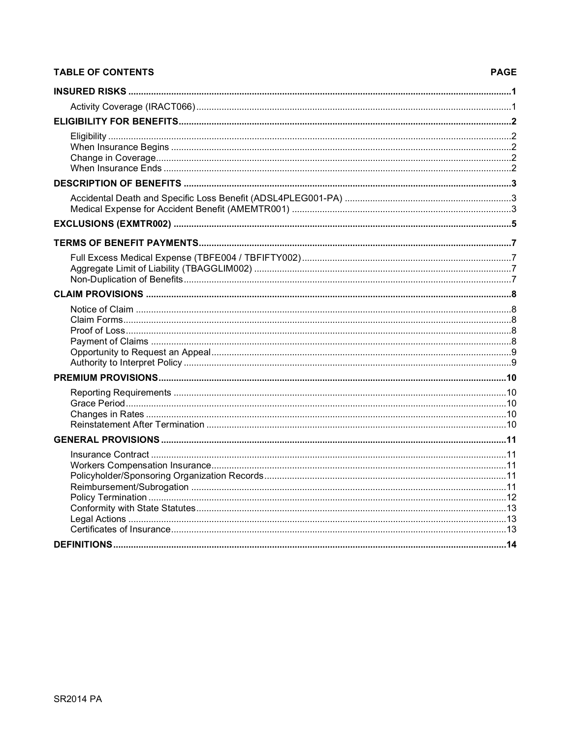# **TABLE OF CONTENTS**

### **PAGE**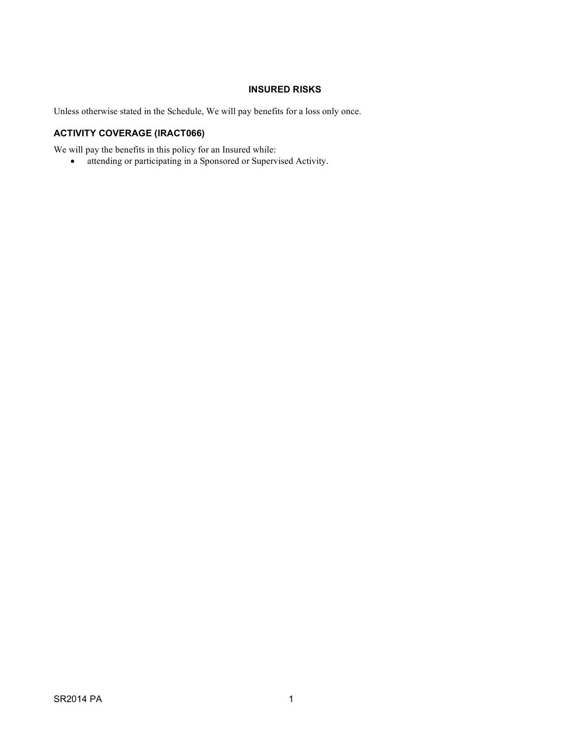# **INSURED RISKS**

<span id="page-4-1"></span><span id="page-4-0"></span>Unless otherwise stated in the Schedule, We will pay benefits for a loss only once.

# **ACTIVITY COVERAGE (IRACT066)**

We will pay the benefits in this policy for an Insured while:

• attending or participating in a Sponsored or Supervised Activity.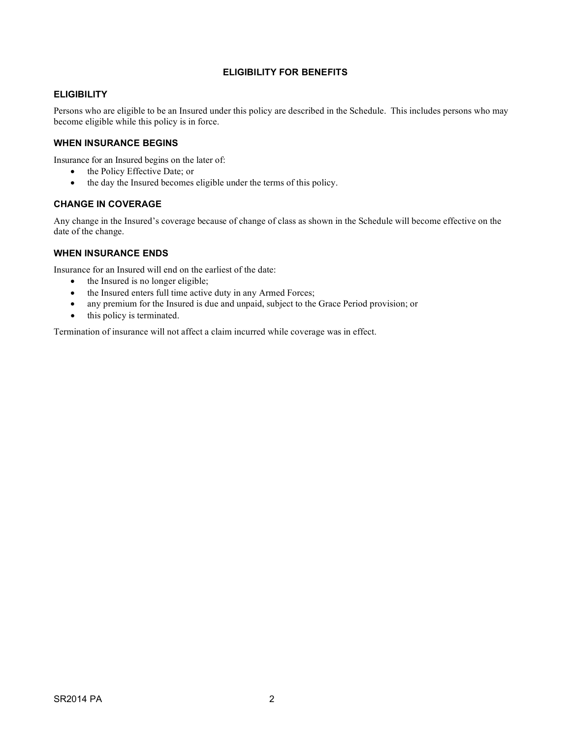### **ELIGIBILITY FOR BENEFITS**

#### <span id="page-5-1"></span><span id="page-5-0"></span>**ELIGIBILITY**

Persons who are eligible to be an Insured under this policy are described in the Schedule. This includes persons who may become eligible while this policy is in force.

#### <span id="page-5-2"></span>**WHEN INSURANCE BEGINS**

Insurance for an Insured begins on the later of:

- the Policy Effective Date; or
- the day the Insured becomes eligible under the terms of this policy.

#### <span id="page-5-3"></span>**CHANGE IN COVERAGE**

Any change in the Insured's coverage because of change of class as shown in the Schedule will become effective on the date of the change.

#### <span id="page-5-4"></span>**WHEN INSURANCE ENDS**

Insurance for an Insured will end on the earliest of the date:

- the Insured is no longer eligible;
- the Insured enters full time active duty in any Armed Forces;
- any premium for the Insured is due and unpaid, subject to the Grace Period provision; or
- this policy is terminated.

Termination of insurance will not affect a claim incurred while coverage was in effect.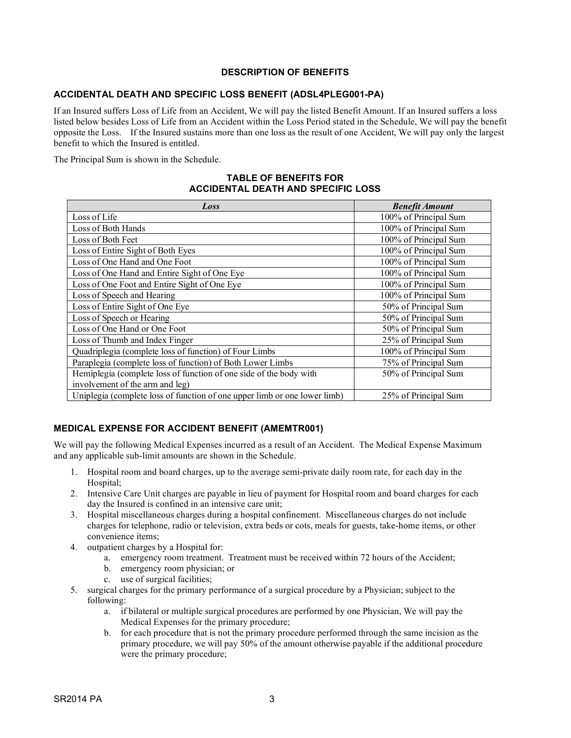### **DESCRIPTION OF BENEFITS**

### <span id="page-6-1"></span><span id="page-6-0"></span>**ACCIDENTAL DEATH AND SPECIFIC LOSS BENEFIT (ADSL4PLEG001-PA)**

If an Insured suffers Loss of Life from an Accident, We will pay the listed Benefit Amount. If an Insured suffers a loss listed below besides Loss of Life from an Accident within the Loss Period stated in the Schedule, We will pay the benefit opposite the Loss. If the Insured sustains more than one loss as the result of one Accident, We will pay only the largest benefit to which the Insured is entitled.

The Principal Sum is shown in the Schedule.

#### **TABLE OF BENEFITS FOR ACCIDENTAL DEATH AND SPECIFIC LOSS**

| Loss                                                                      | <b>Benefit Amount</b> |  |
|---------------------------------------------------------------------------|-----------------------|--|
| Loss of Life                                                              | 100% of Principal Sum |  |
| Loss of Both Hands                                                        | 100% of Principal Sum |  |
| Loss of Both Feet                                                         | 100% of Principal Sum |  |
| Loss of Entire Sight of Both Eyes                                         | 100% of Principal Sum |  |
| Loss of One Hand and One Foot                                             | 100% of Principal Sum |  |
| Loss of One Hand and Entire Sight of One Eye                              | 100% of Principal Sum |  |
| Loss of One Foot and Entire Sight of One Eye                              | 100% of Principal Sum |  |
| Loss of Speech and Hearing                                                | 100% of Principal Sum |  |
| Loss of Entire Sight of One Eye                                           | 50% of Principal Sum  |  |
| Loss of Speech or Hearing                                                 | 50% of Principal Sum  |  |
| Loss of One Hand or One Foot                                              | 50% of Principal Sum  |  |
| Loss of Thumb and Index Finger                                            | 25% of Principal Sum  |  |
| Quadriplegia (complete loss of function) of Four Limbs                    | 100% of Principal Sum |  |
| Paraplegia (complete loss of function) of Both Lower Limbs                | 75% of Principal Sum  |  |
| Hemiplegia (complete loss of function of one side of the body with        | 50% of Principal Sum  |  |
| involvement of the arm and leg)                                           |                       |  |
| Uniplegia (complete loss of function of one upper limb or one lower limb) | 25% of Principal Sum  |  |

### <span id="page-6-2"></span>**MEDICAL EXPENSE FOR ACCIDENT BENEFIT (AMEMTR001)**

We will pay the following Medical Expenses incurred as a result of an Accident. The Medical Expense Maximum and any applicable sub-limit amounts are shown in the Schedule.

- 1. Hospital room and board charges, up to the average semi-private daily room rate, for each day in the Hospital;
- 2. Intensive Care Unit charges are payable in lieu of payment for Hospital room and board charges for each day the Insured is confined in an intensive care unit;
- 3. Hospital miscellaneous charges during a hospital confinement. Miscellaneous charges do not include charges for telephone, radio or television, extra beds or cots, meals for guests, take-home items, or other convenience items;
- 4. outpatient charges by a Hospital for:
	- a. emergency room treatment. Treatment must be received within 72 hours of the Accident;
	- b. emergency room physician; or
	- c. use of surgical facilities;
- 5. surgical charges for the primary performance of a surgical procedure by a Physician; subject to the following:
	- a. if bilateral or multiple surgical procedures are performed by one Physician, We will pay the Medical Expenses for the primary procedure;
	- b. for each procedure that is not the primary procedure performed through the same incision as the primary procedure, we will pay 50% of the amount otherwise payable if the additional procedure were the primary procedure;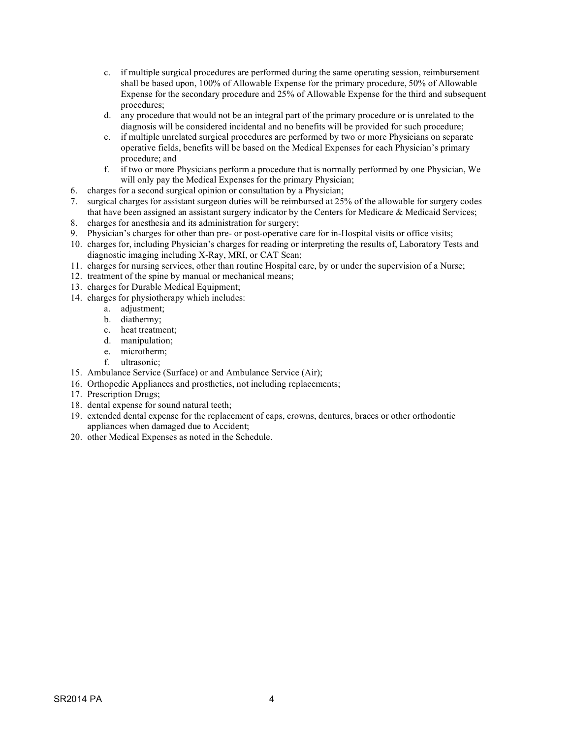- c. if multiple surgical procedures are performed during the same operating session, reimbursement shall be based upon, 100% of Allowable Expense for the primary procedure, 50% of Allowable Expense for the secondary procedure and 25% of Allowable Expense for the third and subsequent procedures;
- d. any procedure that would not be an integral part of the primary procedure or is unrelated to the diagnosis will be considered incidental and no benefits will be provided for such procedure;
- e. if multiple unrelated surgical procedures are performed by two or more Physicians on separate operative fields, benefits will be based on the Medical Expenses for each Physician's primary procedure; and
- f. if two or more Physicians perform a procedure that is normally performed by one Physician, We will only pay the Medical Expenses for the primary Physician;
- 6. charges for a second surgical opinion or consultation by a Physician;
- 7. surgical charges for assistant surgeon duties will be reimbursed at 25% of the allowable for surgery codes that have been assigned an assistant surgery indicator by the Centers for Medicare & Medicaid Services;
- 8. charges for anesthesia and its administration for surgery;
- 9. Physician's charges for other than pre- or post-operative care for in-Hospital visits or office visits;
- 10. charges for, including Physician's charges for reading or interpreting the results of, Laboratory Tests and diagnostic imaging including X-Ray, MRI, or CAT Scan;
- 11. charges for nursing services, other than routine Hospital care, by or under the supervision of a Nurse;
- 12. treatment of the spine by manual or mechanical means;
- 13. charges for Durable Medical Equipment;
- 14. charges for physiotherapy which includes:
	- a. adjustment;
	- b. diathermy;
	- c. heat treatment;
	- d. manipulation;
	- e. microtherm;
	- f. ultrasonic;
- 15. Ambulance Service (Surface) or and Ambulance Service (Air);
- 16. Orthopedic Appliances and prosthetics, not including replacements;
- 17. Prescription Drugs;
- 18. dental expense for sound natural teeth;
- 19. extended dental expense for the replacement of caps, crowns, dentures, braces or other orthodontic appliances when damaged due to Accident;
- 20. other Medical Expenses as noted in the Schedule.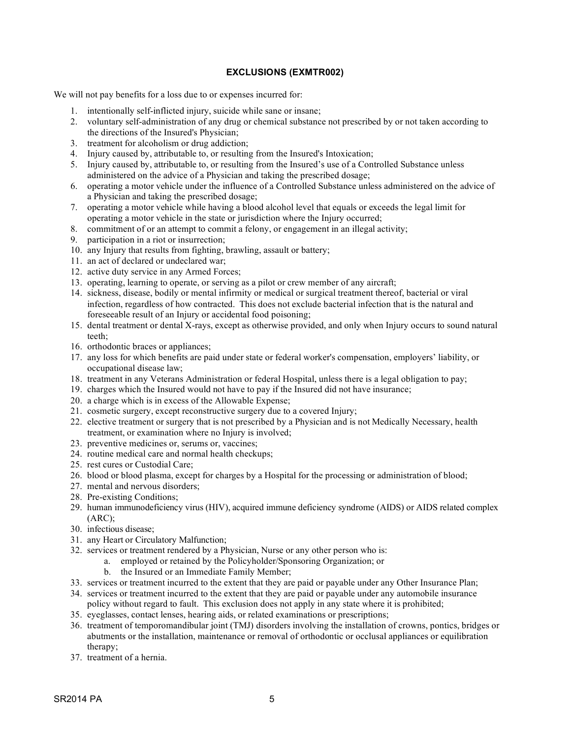### **EXCLUSIONS (EXMTR002)**

<span id="page-8-0"></span>We will not pay benefits for a loss due to or expenses incurred for:

- 1. intentionally self-inflicted injury, suicide while sane or insane;
- 2. voluntary self-administration of any drug or chemical substance not prescribed by or not taken according to the directions of the Insured's Physician;
- 3. treatment for alcoholism or drug addiction;
- 4. Injury caused by, attributable to, or resulting from the Insured's Intoxication;
- 5. Injury caused by, attributable to, or resulting from the Insured's use of a Controlled Substance unless administered on the advice of a Physician and taking the prescribed dosage;
- 6. operating a motor vehicle under the influence of a Controlled Substance unless administered on the advice of a Physician and taking the prescribed dosage;
- 7. operating a motor vehicle while having a blood alcohol level that equals or exceeds the legal limit for operating a motor vehicle in the state or jurisdiction where the Injury occurred;
- 8. commitment of or an attempt to commit a felony, or engagement in an illegal activity;
- 9. participation in a riot or insurrection;
- 10. any Injury that results from fighting, brawling, assault or battery;
- 11. an act of declared or undeclared war;
- 12. active duty service in any Armed Forces;
- 13. operating, learning to operate, or serving as a pilot or crew member of any aircraft;
- 14. sickness, disease, bodily or mental infirmity or medical or surgical treatment thereof, bacterial or viral infection, regardless of how contracted. This does not exclude bacterial infection that is the natural and foreseeable result of an Injury or accidental food poisoning;
- 15. dental treatment or dental X-rays, except as otherwise provided, and only when Injury occurs to sound natural teeth;
- 16. orthodontic braces or appliances;
- 17. any loss for which benefits are paid under state or federal worker's compensation, employers' liability, or occupational disease law;
- 18. treatment in any Veterans Administration or federal Hospital, unless there is a legal obligation to pay;
- 19. charges which the Insured would not have to pay if the Insured did not have insurance;
- 20. a charge which is in excess of the Allowable Expense;
- 21. cosmetic surgery, except reconstructive surgery due to a covered Injury;
- 22. elective treatment or surgery that is not prescribed by a Physician and is not Medically Necessary, health treatment, or examination where no Injury is involved;
- 23. preventive medicines or, serums or, vaccines;
- 24. routine medical care and normal health checkups;
- 25. rest cures or Custodial Care;
- 26. blood or blood plasma, except for charges by a Hospital for the processing or administration of blood;
- 27. mental and nervous disorders;
- 28. Pre-existing Conditions;
- 29. human immunodeficiency virus (HIV), acquired immune deficiency syndrome (AIDS) or AIDS related complex (ARC);
- 30. infectious disease;
- 31. any Heart or Circulatory Malfunction;
- 32. services or treatment rendered by a Physician, Nurse or any other person who is:
	- a. employed or retained by the Policyholder/Sponsoring Organization; or
	- b. the Insured or an Immediate Family Member;
- 33. services or treatment incurred to the extent that they are paid or payable under any Other Insurance Plan;
- 34. services or treatment incurred to the extent that they are paid or payable under any automobile insurance policy without regard to fault. This exclusion does not apply in any state where it is prohibited;
- 35. eyeglasses, contact lenses, hearing aids, or related examinations or prescriptions;
- 36. treatment of temporomandibular joint (TMJ) disorders involving the installation of crowns, pontics, bridges or abutments or the installation, maintenance or removal of orthodontic or occlusal appliances or equilibration therapy;
- 37. treatment of a hernia.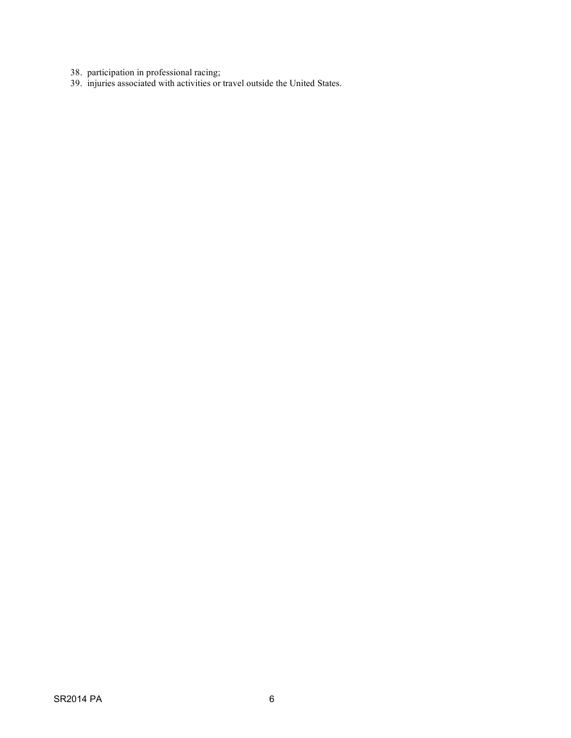- 38. participation in professional racing;
- 39. injuries associated with activities or travel outside the United States.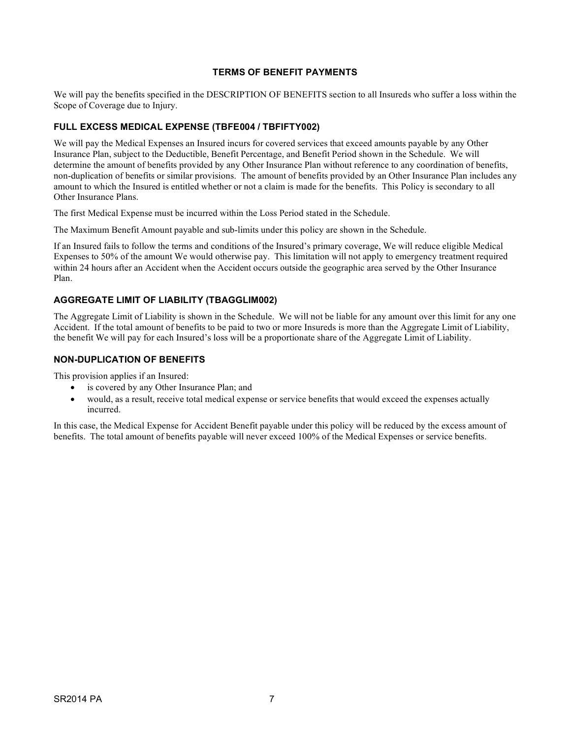#### **TERMS OF BENEFIT PAYMENTS**

<span id="page-10-0"></span>We will pay the benefits specified in the DESCRIPTION OF BENEFITS section to all Insureds who suffer a loss within the Scope of Coverage due to Injury.

### <span id="page-10-1"></span>**FULL EXCESS MEDICAL EXPENSE (TBFE004 / TBFIFTY002)**

We will pay the Medical Expenses an Insured incurs for covered services that exceed amounts payable by any Other Insurance Plan, subject to the Deductible, Benefit Percentage, and Benefit Period shown in the Schedule. We will determine the amount of benefits provided by any Other Insurance Plan without reference to any coordination of benefits, non-duplication of benefits or similar provisions. The amount of benefits provided by an Other Insurance Plan includes any amount to which the Insured is entitled whether or not a claim is made for the benefits. This Policy is secondary to all Other Insurance Plans.

The first Medical Expense must be incurred within the Loss Period stated in the Schedule.

The Maximum Benefit Amount payable and sub-limits under this policy are shown in the Schedule.

If an Insured fails to follow the terms and conditions of the Insured's primary coverage, We will reduce eligible Medical Expenses to 50% of the amount We would otherwise pay. This limitation will not apply to emergency treatment required within 24 hours after an Accident when the Accident occurs outside the geographic area served by the Other Insurance Plan.

### <span id="page-10-2"></span>**AGGREGATE LIMIT OF LIABILITY (TBAGGLIM002)**

The Aggregate Limit of Liability is shown in the Schedule. We will not be liable for any amount over this limit for any one Accident. If the total amount of benefits to be paid to two or more Insureds is more than the Aggregate Limit of Liability, the benefit We will pay for each Insured's loss will be a proportionate share of the Aggregate Limit of Liability.

### <span id="page-10-3"></span>**NON-DUPLICATION OF BENEFITS**

This provision applies if an Insured:

- is covered by any Other Insurance Plan; and
- would, as a result, receive total medical expense or service benefits that would exceed the expenses actually incurred.

In this case, the Medical Expense for Accident Benefit payable under this policy will be reduced by the excess amount of benefits. The total amount of benefits payable will never exceed 100% of the Medical Expenses or service benefits.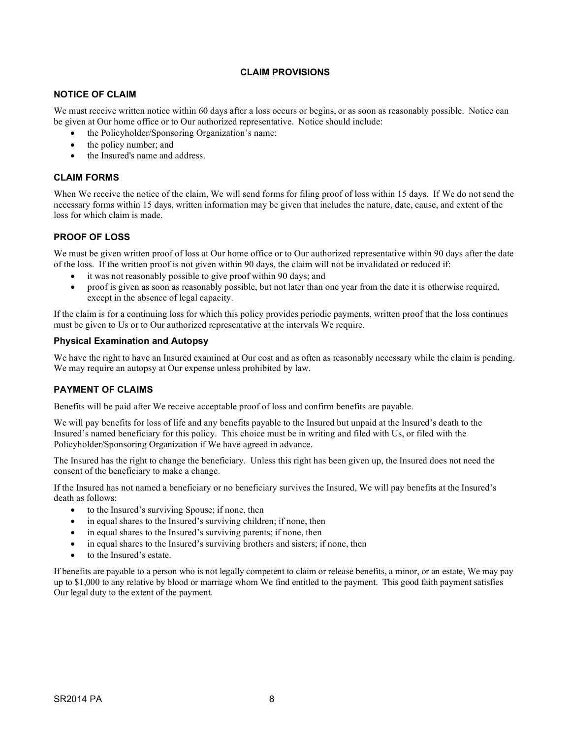### **CLAIM PROVISIONS**

### <span id="page-11-1"></span><span id="page-11-0"></span>**NOTICE OF CLAIM**

We must receive written notice within 60 days after a loss occurs or begins, or as soon as reasonably possible. Notice can be given at Our home office or to Our authorized representative. Notice should include:

- the Policyholder/Sponsoring Organization's name;
- the policy number; and
- the Insured's name and address.

### <span id="page-11-2"></span>**CLAIM FORMS**

When We receive the notice of the claim, We will send forms for filing proof of loss within 15 days. If We do not send the necessary forms within 15 days, written information may be given that includes the nature, date, cause, and extent of the loss for which claim is made.

### <span id="page-11-3"></span>**PROOF OF LOSS**

We must be given written proof of loss at Our home office or to Our authorized representative within 90 days after the date of the loss. If the written proof is not given within 90 days, the claim will not be invalidated or reduced if:

- it was not reasonably possible to give proof within 90 days; and
- proof is given as soon as reasonably possible, but not later than one year from the date it is otherwise required, except in the absence of legal capacity.

If the claim is for a continuing loss for which this policy provides periodic payments, written proof that the loss continues must be given to Us or to Our authorized representative at the intervals We require.

#### **Physical Examination and Autopsy**

We have the right to have an Insured examined at Our cost and as often as reasonably necessary while the claim is pending. We may require an autopsy at Our expense unless prohibited by law.

### <span id="page-11-4"></span>**PAYMENT OF CLAIMS**

Benefits will be paid after We receive acceptable proof of loss and confirm benefits are payable.

We will pay benefits for loss of life and any benefits payable to the Insured but unpaid at the Insured's death to the Insured's named beneficiary for this policy. This choice must be in writing and filed with Us, or filed with the Policyholder/Sponsoring Organization if We have agreed in advance.

The Insured has the right to change the beneficiary. Unless this right has been given up, the Insured does not need the consent of the beneficiary to make a change.

If the Insured has not named a beneficiary or no beneficiary survives the Insured, We will pay benefits at the Insured's death as follows:

- to the Insured's surviving Spouse; if none, then
- in equal shares to the Insured's surviving children; if none, then
- in equal shares to the Insured's surviving parents; if none, then
- in equal shares to the Insured's surviving brothers and sisters; if none, then
- to the Insured's estate.

If benefits are payable to a person who is not legally competent to claim or release benefits, a minor, or an estate, We may pay up to \$1,000 to any relative by blood or marriage whom We find entitled to the payment. This good faith payment satisfies Our legal duty to the extent of the payment.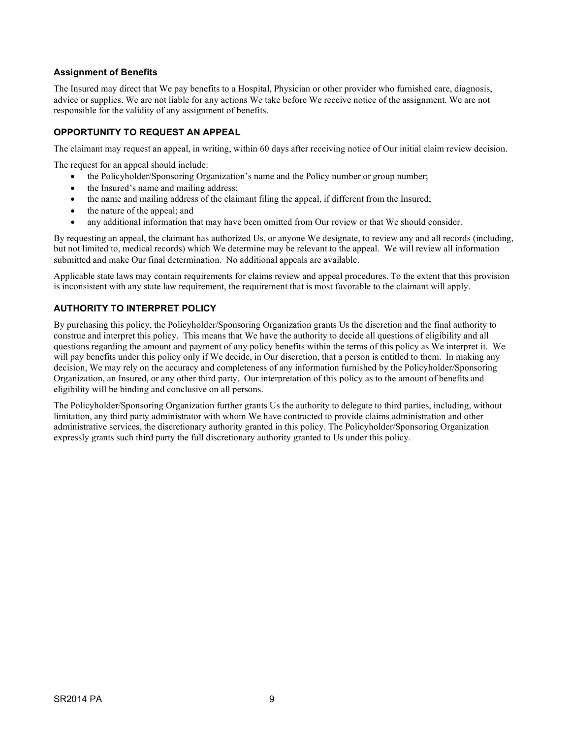### **Assignment of Benefits**

The Insured may direct that We pay benefits to a Hospital, Physician or other provider who furnished care, diagnosis, advice or supplies. We are not liable for any actions We take before We receive notice of the assignment. We are not responsible for the validity of any assignment of benefits.

### <span id="page-12-0"></span>**OPPORTUNITY TO REQUEST AN APPEAL**

The claimant may request an appeal, in writing, within 60 days after receiving notice of Our initial claim review decision.

The request for an appeal should include:

- the Policyholder/Sponsoring Organization's name and the Policy number or group number;
- the Insured's name and mailing address;
- the name and mailing address of the claimant filing the appeal, if different from the Insured;
- the nature of the appeal; and
- any additional information that may have been omitted from Our review or that We should consider.

By requesting an appeal, the claimant has authorized Us, or anyone We designate, to review any and all records (including, but not limited to, medical records) which We determine may be relevant to the appeal. We will review all information submitted and make Our final determination. No additional appeals are available.

Applicable state laws may contain requirements for claims review and appeal procedures. To the extent that this provision is inconsistent with any state law requirement, the requirement that is most favorable to the claimant will apply.

### <span id="page-12-1"></span>**AUTHORITY TO INTERPRET POLICY**

By purchasing this policy, the Policyholder/Sponsoring Organization grants Us the discretion and the final authority to construe and interpret this policy. This means that We have the authority to decide all questions of eligibility and all questions regarding the amount and payment of any policy benefits within the terms of this policy as We interpret it. We will pay benefits under this policy only if We decide, in Our discretion, that a person is entitled to them. In making any decision, We may rely on the accuracy and completeness of any information furnished by the Policyholder/Sponsoring Organization, an Insured, or any other third party. Our interpretation of this policy as to the amount of benefits and eligibility will be binding and conclusive on all persons.

The Policyholder/Sponsoring Organization further grants Us the authority to delegate to third parties, including, without limitation, any third party administrator with whom We have contracted to provide claims administration and other administrative services, the discretionary authority granted in this policy. The Policyholder/Sponsoring Organization expressly grants such third party the full discretionary authority granted to Us under this policy.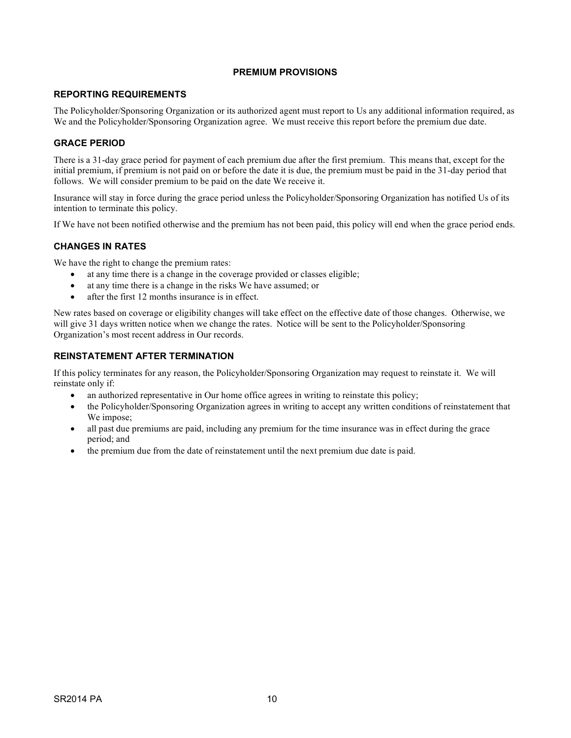### **PREMIUM PROVISIONS**

### <span id="page-13-1"></span><span id="page-13-0"></span>**REPORTING REQUIREMENTS**

The Policyholder/Sponsoring Organization or its authorized agent must report to Us any additional information required, as We and the Policyholder/Sponsoring Organization agree. We must receive this report before the premium due date.

### <span id="page-13-2"></span>**GRACE PERIOD**

There is a 31-day grace period for payment of each premium due after the first premium. This means that, except for the initial premium, if premium is not paid on or before the date it is due, the premium must be paid in the 31-day period that follows. We will consider premium to be paid on the date We receive it.

Insurance will stay in force during the grace period unless the Policyholder/Sponsoring Organization has notified Us of its intention to terminate this policy.

<span id="page-13-3"></span>If We have not been notified otherwise and the premium has not been paid, this policy will end when the grace period ends.

### **CHANGES IN RATES**

We have the right to change the premium rates:

- at any time there is a change in the coverage provided or classes eligible;
- at any time there is a change in the risks We have assumed; or
- after the first 12 months insurance is in effect.

New rates based on coverage or eligibility changes will take effect on the effective date of those changes. Otherwise, we will give 31 days written notice when we change the rates. Notice will be sent to the Policyholder/Sponsoring Organization's most recent address in Our records.

### <span id="page-13-4"></span>**REINSTATEMENT AFTER TERMINATION**

If this policy terminates for any reason, the Policyholder/Sponsoring Organization may request to reinstate it. We will reinstate only if:

- an authorized representative in Our home office agrees in writing to reinstate this policy;
- the Policyholder/Sponsoring Organization agrees in writing to accept any written conditions of reinstatement that We impose;
- all past due premiums are paid, including any premium for the time insurance was in effect during the grace period; and
- the premium due from the date of reinstatement until the next premium due date is paid.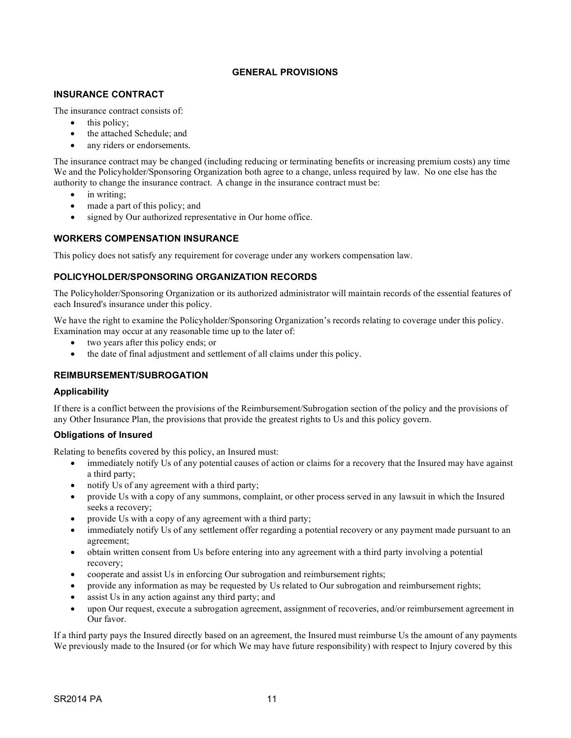### **GENERAL PROVISIONS**

#### <span id="page-14-1"></span><span id="page-14-0"></span>**INSURANCE CONTRACT**

The insurance contract consists of:

- this policy;
- the attached Schedule; and
- any riders or endorsements.

The insurance contract may be changed (including reducing or terminating benefits or increasing premium costs) any time We and the Policyholder/Sponsoring Organization both agree to a change, unless required by law. No one else has the authority to change the insurance contract. A change in the insurance contract must be:

- in writing;
- made a part of this policy; and
- signed by Our authorized representative in Our home office.

### <span id="page-14-2"></span>**WORKERS COMPENSATION INSURANCE**

<span id="page-14-3"></span>This policy does not satisfy any requirement for coverage under any workers compensation law.

### **POLICYHOLDER/SPONSORING ORGANIZATION RECORDS**

The Policyholder/Sponsoring Organization or its authorized administrator will maintain records of the essential features of each Insured's insurance under this policy.

We have the right to examine the Policyholder/Sponsoring Organization's records relating to coverage under this policy. Examination may occur at any reasonable time up to the later of:

- two years after this policy ends; or
- the date of final adjustment and settlement of all claims under this policy.

### <span id="page-14-4"></span>**REIMBURSEMENT/SUBROGATION**

#### **Applicability**

If there is a conflict between the provisions of the Reimbursement/Subrogation section of the policy and the provisions of any Other Insurance Plan, the provisions that provide the greatest rights to Us and this policy govern.

#### **Obligations of Insured**

Relating to benefits covered by this policy, an Insured must:

- immediately notify Us of any potential causes of action or claims for a recovery that the Insured may have against a third party;
- notify Us of any agreement with a third party;
- provide Us with a copy of any summons, complaint, or other process served in any lawsuit in which the Insured seeks a recovery;
- provide Us with a copy of any agreement with a third party;
- immediately notify Us of any settlement offer regarding a potential recovery or any payment made pursuant to an agreement;
- obtain written consent from Us before entering into any agreement with a third party involving a potential recovery;
- cooperate and assist Us in enforcing Our subrogation and reimbursement rights;
- provide any information as may be requested by Us related to Our subrogation and reimbursement rights;
- assist Us in any action against any third party; and
- upon Our request, execute a subrogation agreement, assignment of recoveries, and/or reimbursement agreement in Our favor.

If a third party pays the Insured directly based on an agreement, the Insured must reimburse Us the amount of any payments We previously made to the Insured (or for which We may have future responsibility) with respect to Injury covered by this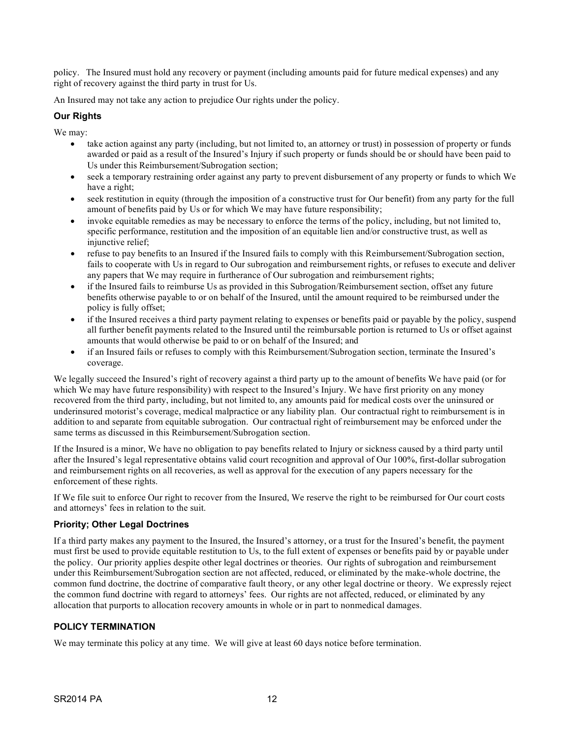policy. The Insured must hold any recovery or payment (including amounts paid for future medical expenses) and any right of recovery against the third party in trust for Us.

An Insured may not take any action to prejudice Our rights under the policy.

### **Our Rights**

We may:

- take action against any party (including, but not limited to, an attorney or trust) in possession of property or funds awarded or paid as a result of the Insured's Injury if such property or funds should be or should have been paid to Us under this Reimbursement/Subrogation section;
- seek a temporary restraining order against any party to prevent disbursement of any property or funds to which We have a right;
- seek restitution in equity (through the imposition of a constructive trust for Our benefit) from any party for the full amount of benefits paid by Us or for which We may have future responsibility;
- invoke equitable remedies as may be necessary to enforce the terms of the policy, including, but not limited to, specific performance, restitution and the imposition of an equitable lien and/or constructive trust, as well as injunctive relief;
- refuse to pay benefits to an Insured if the Insured fails to comply with this Reimbursement/Subrogation section, fails to cooperate with Us in regard to Our subrogation and reimbursement rights, or refuses to execute and deliver any papers that We may require in furtherance of Our subrogation and reimbursement rights;
- if the Insured fails to reimburse Us as provided in this Subrogation/Reimbursement section, offset any future benefits otherwise payable to or on behalf of the Insured, until the amount required to be reimbursed under the policy is fully offset;
- if the Insured receives a third party payment relating to expenses or benefits paid or payable by the policy, suspend all further benefit payments related to the Insured until the reimbursable portion is returned to Us or offset against amounts that would otherwise be paid to or on behalf of the Insured; and
- if an Insured fails or refuses to comply with this Reimbursement/Subrogation section, terminate the Insured's coverage.

We legally succeed the Insured's right of recovery against a third party up to the amount of benefits We have paid (or for which We may have future responsibility) with respect to the Insured's Injury. We have first priority on any money recovered from the third party, including, but not limited to, any amounts paid for medical costs over the uninsured or underinsured motorist's coverage, medical malpractice or any liability plan. Our contractual right to reimbursement is in addition to and separate from equitable subrogation. Our contractual right of reimbursement may be enforced under the same terms as discussed in this Reimbursement/Subrogation section.

If the Insured is a minor, We have no obligation to pay benefits related to Injury or sickness caused by a third party until after the Insured's legal representative obtains valid court recognition and approval of Our 100%, first-dollar subrogation and reimbursement rights on all recoveries, as well as approval for the execution of any papers necessary for the enforcement of these rights.

If We file suit to enforce Our right to recover from the Insured, We reserve the right to be reimbursed for Our court costs and attorneys' fees in relation to the suit.

#### **Priority; Other Legal Doctrines**

If a third party makes any payment to the Insured, the Insured's attorney, or a trust for the Insured's benefit, the payment must first be used to provide equitable restitution to Us, to the full extent of expenses or benefits paid by or payable under the policy. Our priority applies despite other legal doctrines or theories. Our rights of subrogation and reimbursement under this Reimbursement/Subrogation section are not affected, reduced, or eliminated by the make-whole doctrine, the common fund doctrine, the doctrine of comparative fault theory, or any other legal doctrine or theory. We expressly reject the common fund doctrine with regard to attorneys' fees. Our rights are not affected, reduced, or eliminated by any allocation that purports to allocation recovery amounts in whole or in part to nonmedical damages.

#### <span id="page-15-0"></span>**POLICY TERMINATION**

We may terminate this policy at any time. We will give at least 60 days notice before termination.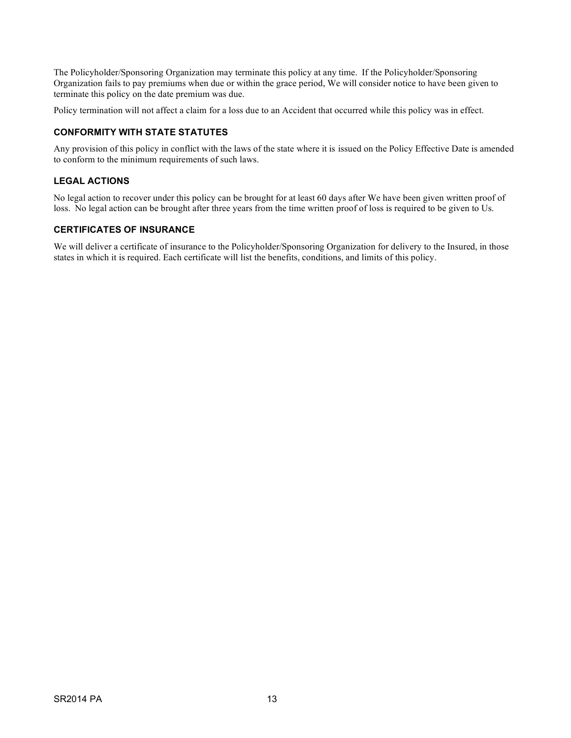The Policyholder/Sponsoring Organization may terminate this policy at any time. If the Policyholder/Sponsoring Organization fails to pay premiums when due or within the grace period, We will consider notice to have been given to terminate this policy on the date premium was due.

<span id="page-16-0"></span>Policy termination will not affect a claim for a loss due to an Accident that occurred while this policy was in effect.

### **CONFORMITY WITH STATE STATUTES**

Any provision of this policy in conflict with the laws of the state where it is issued on the Policy Effective Date is amended to conform to the minimum requirements of such laws.

### <span id="page-16-1"></span>**LEGAL ACTIONS**

No legal action to recover under this policy can be brought for at least 60 days after We have been given written proof of loss. No legal action can be brought after three years from the time written proof of loss is required to be given to Us.

### <span id="page-16-2"></span>**CERTIFICATES OF INSURANCE**

We will deliver a certificate of insurance to the Policyholder/Sponsoring Organization for delivery to the Insured, in those states in which it is required. Each certificate will list the benefits, conditions, and limits of this policy.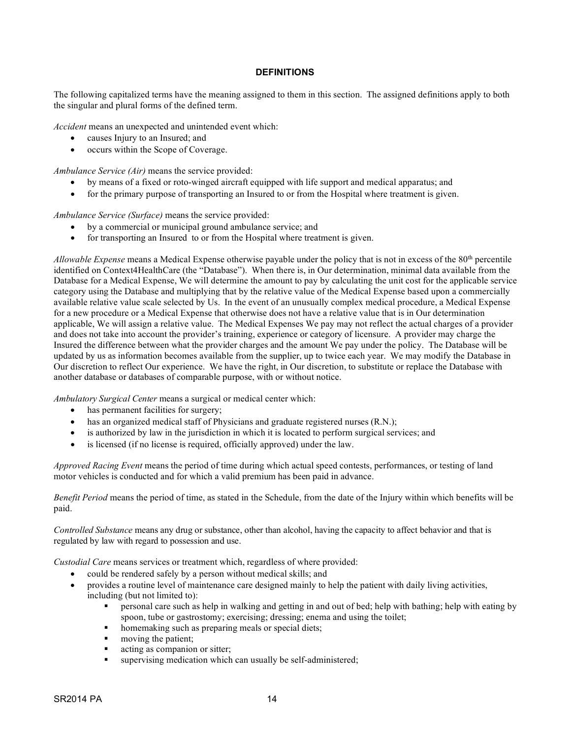#### **DEFINITIONS**

<span id="page-17-0"></span>The following capitalized terms have the meaning assigned to them in this section. The assigned definitions apply to both the singular and plural forms of the defined term.

*Accident* means an unexpected and unintended event which:

- causes Injury to an Insured; and
- occurs within the Scope of Coverage.

*Ambulance Service (Air)* means the service provided:

- by means of a fixed or roto-winged aircraft equipped with life support and medical apparatus; and
- for the primary purpose of transporting an Insured to or from the Hospital where treatment is given.

*Ambulance Service (Surface)* means the service provided:

- by a commercial or municipal ground ambulance service; and
- for transporting an Insured to or from the Hospital where treatment is given.

*Allowable Expense* means a Medical Expense otherwise payable under the policy that is not in excess of the 80<sup>th</sup> percentile identified on Context4HealthCare (the "Database"). When there is, in Our determination, minimal data available from the Database for a Medical Expense, We will determine the amount to pay by calculating the unit cost for the applicable service category using the Database and multiplying that by the relative value of the Medical Expense based upon a commercially available relative value scale selected by Us. In the event of an unusually complex medical procedure, a Medical Expense for a new procedure or a Medical Expense that otherwise does not have a relative value that is in Our determination applicable, We will assign a relative value. The Medical Expenses We pay may not reflect the actual charges of a provider and does not take into account the provider's training, experience or category of licensure. A provider may charge the Insured the difference between what the provider charges and the amount We pay under the policy. The Database will be updated by us as information becomes available from the supplier, up to twice each year. We may modify the Database in Our discretion to reflect Our experience. We have the right, in Our discretion, to substitute or replace the Database with another database or databases of comparable purpose, with or without notice.

*Ambulatory Surgical Center* means a surgical or medical center which:

- has permanent facilities for surgery;
- has an organized medical staff of Physicians and graduate registered nurses (R.N.);
- is authorized by law in the jurisdiction in which it is located to perform surgical services; and
- is licensed (if no license is required, officially approved) under the law.

*Approved Racing Event* means the period of time during which actual speed contests, performances, or testing of land motor vehicles is conducted and for which a valid premium has been paid in advance.

*Benefit Period* means the period of time, as stated in the Schedule, from the date of the Injury within which benefits will be paid.

*Controlled Substance* means any drug or substance, other than alcohol, having the capacity to affect behavior and that is regulated by law with regard to possession and use.

*Custodial Care* means services or treatment which, regardless of where provided:

- could be rendered safely by a person without medical skills; and
- provides a routine level of maintenance care designed mainly to help the patient with daily living activities, including (but not limited to):
	- personal care such as help in walking and getting in and out of bed; help with bathing; help with eating by spoon, tube or gastrostomy; exercising; dressing; enema and using the toilet;
	- homemaking such as preparing meals or special diets;
	- moving the patient;
	- **acting as companion or sitter;**
	- supervising medication which can usually be self-administered;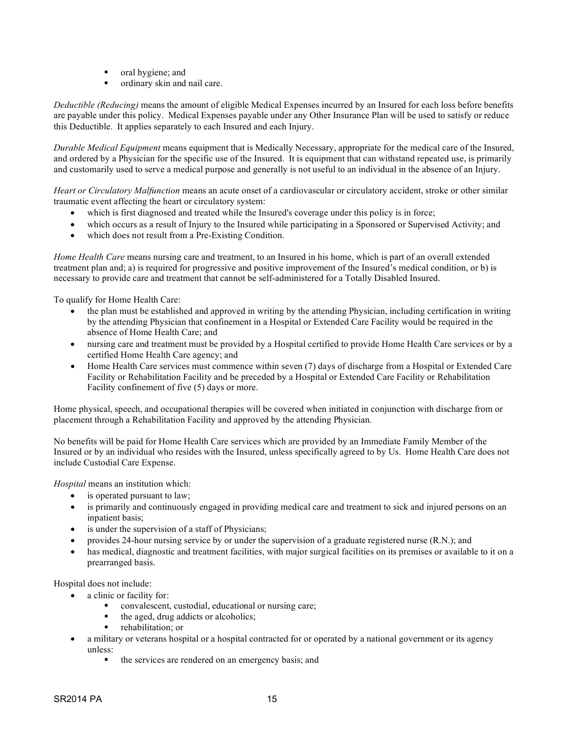- **•** oral hygiene; and
- ordinary skin and nail care.

*Deductible (Reducing)* means the amount of eligible Medical Expenses incurred by an Insured for each loss before benefits are payable under this policy. Medical Expenses payable under any Other Insurance Plan will be used to satisfy or reduce this Deductible. It applies separately to each Insured and each Injury.

*Durable Medical Equipment* means equipment that is Medically Necessary, appropriate for the medical care of the Insured, and ordered by a Physician for the specific use of the Insured. It is equipment that can withstand repeated use, is primarily and customarily used to serve a medical purpose and generally is not useful to an individual in the absence of an Injury.

*Heart or Circulatory Malfunction* means an acute onset of a cardiovascular or circulatory accident, stroke or other similar traumatic event affecting the heart or circulatory system:

- which is first diagnosed and treated while the Insured's coverage under this policy is in force;
- which occurs as a result of Injury to the Insured while participating in a Sponsored or Supervised Activity; and
- which does not result from a Pre-Existing Condition.

*Home Health Care* means nursing care and treatment, to an Insured in his home, which is part of an overall extended treatment plan and; a) is required for progressive and positive improvement of the Insured's medical condition, or b) is necessary to provide care and treatment that cannot be self-administered for a Totally Disabled Insured.

To qualify for Home Health Care:

- the plan must be established and approved in writing by the attending Physician, including certification in writing by the attending Physician that confinement in a Hospital or Extended Care Facility would be required in the absence of Home Health Care; and
- nursing care and treatment must be provided by a Hospital certified to provide Home Health Care services or by a certified Home Health Care agency; and
- Home Health Care services must commence within seven (7) days of discharge from a Hospital or Extended Care Facility or Rehabilitation Facility and be preceded by a Hospital or Extended Care Facility or Rehabilitation Facility confinement of five (5) days or more.

Home physical, speech, and occupational therapies will be covered when initiated in conjunction with discharge from or placement through a Rehabilitation Facility and approved by the attending Physician.

No benefits will be paid for Home Health Care services which are provided by an Immediate Family Member of the Insured or by an individual who resides with the Insured, unless specifically agreed to by Us. Home Health Care does not include Custodial Care Expense.

*Hospital* means an institution which:

- is operated pursuant to law;
- is primarily and continuously engaged in providing medical care and treatment to sick and injured persons on an inpatient basis;
- is under the supervision of a staff of Physicians;
- provides 24-hour nursing service by or under the supervision of a graduate registered nurse (R.N.); and
- has medical, diagnostic and treatment facilities, with major surgical facilities on its premises or available to it on a prearranged basis.

Hospital does not include:

- a clinic or facility for:
	- convalescent, custodial, educational or nursing care;
	- the aged, drug addicts or alcoholics;
	- **•** rehabilitation; or
- a military or veterans hospital or a hospital contracted for or operated by a national government or its agency unless:
	- the services are rendered on an emergency basis; and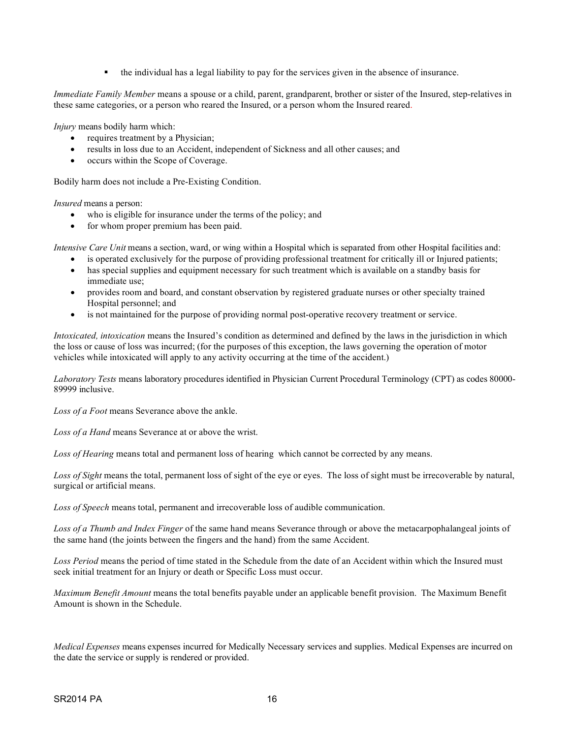the individual has a legal liability to pay for the services given in the absence of insurance.

*Immediate Family Member* means a spouse or a child, parent, grandparent, brother or sister of the Insured, step-relatives in these same categories, or a person who reared the Insured, or a person whom the Insured reared.

*Injury* means bodily harm which:

- requires treatment by a Physician;
- results in loss due to an Accident, independent of Sickness and all other causes; and
- occurs within the Scope of Coverage.

Bodily harm does not include a Pre-Existing Condition.

*Insured* means a person:

- who is eligible for insurance under the terms of the policy; and
- for whom proper premium has been paid.

*Intensive Care Unit* means a section, ward, or wing within a Hospital which is separated from other Hospital facilities and:

- is operated exclusively for the purpose of providing professional treatment for critically ill or Injured patients;
- has special supplies and equipment necessary for such treatment which is available on a standby basis for immediate use;
- provides room and board, and constant observation by registered graduate nurses or other specialty trained Hospital personnel; and
- is not maintained for the purpose of providing normal post-operative recovery treatment or service.

*Intoxicated, intoxication* means the Insured's condition as determined and defined by the laws in the jurisdiction in which the loss or cause of loss was incurred; (for the purposes of this exception, the laws governing the operation of motor vehicles while intoxicated will apply to any activity occurring at the time of the accident.)

*Laboratory Tests* means laboratory procedures identified in Physician Current Procedural Terminology (CPT) as codes 80000- 89999 inclusive.

*Loss of a Foot* means Severance above the ankle.

*Loss of a Hand* means Severance at or above the wrist.

*Loss of Hearing* means total and permanent loss of hearing which cannot be corrected by any means.

*Loss of Sight* means the total, permanent loss of sight of the eye or eyes. The loss of sight must be irrecoverable by natural, surgical or artificial means.

*Loss of Speech* means total, permanent and irrecoverable loss of audible communication.

*Loss of a Thumb and Index Finger* of the same hand means Severance through or above the metacarpophalangeal joints of the same hand (the joints between the fingers and the hand) from the same Accident.

*Loss Period* means the period of time stated in the Schedule from the date of an Accident within which the Insured must seek initial treatment for an Injury or death or Specific Loss must occur.

*Maximum Benefit Amount* means the total benefits payable under an applicable benefit provision. The Maximum Benefit Amount is shown in the Schedule.

*Medical Expenses* means expenses incurred for Medically Necessary services and supplies. Medical Expenses are incurred on the date the service or supply is rendered or provided.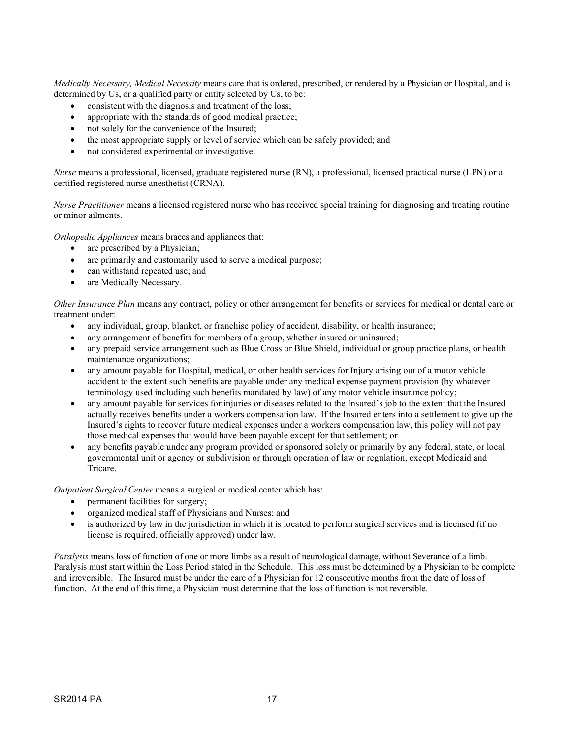*Medically Necessary, Medical Necessity* means care that is ordered, prescribed, or rendered by a Physician or Hospital, and is determined by Us, or a qualified party or entity selected by Us, to be:

- consistent with the diagnosis and treatment of the loss;
- appropriate with the standards of good medical practice;
- not solely for the convenience of the Insured;
- the most appropriate supply or level of service which can be safely provided; and
- not considered experimental or investigative.

*Nurse* means a professional, licensed, graduate registered nurse (RN), a professional, licensed practical nurse (LPN) or a certified registered nurse anesthetist (CRNA).

*Nurse Practitioner* means a licensed registered nurse who has received special training for diagnosing and treating routine or minor ailments.

*Orthopedic Appliances* means braces and appliances that:

- are prescribed by a Physician;
- are primarily and customarily used to serve a medical purpose;
- can withstand repeated use; and
- are Medically Necessary.

*Other Insurance Plan* means any contract, policy or other arrangement for benefits or services for medical or dental care or treatment under:

- any individual, group, blanket, or franchise policy of accident, disability, or health insurance;
- any arrangement of benefits for members of a group, whether insured or uninsured;
- any prepaid service arrangement such as Blue Cross or Blue Shield, individual or group practice plans, or health maintenance organizations;
- any amount payable for Hospital, medical, or other health services for Injury arising out of a motor vehicle accident to the extent such benefits are payable under any medical expense payment provision (by whatever terminology used including such benefits mandated by law) of any motor vehicle insurance policy;
- any amount payable for services for injuries or diseases related to the Insured's job to the extent that the Insured actually receives benefits under a workers compensation law. If the Insured enters into a settlement to give up the Insured's rights to recover future medical expenses under a workers compensation law, this policy will not pay those medical expenses that would have been payable except for that settlement; or
- any benefits payable under any program provided or sponsored solely or primarily by any federal, state, or local governmental unit or agency or subdivision or through operation of law or regulation, except Medicaid and Tricare.

*Outpatient Surgical Center* means a surgical or medical center which has:

- permanent facilities for surgery;
- organized medical staff of Physicians and Nurses; and
- is authorized by law in the jurisdiction in which it is located to perform surgical services and is licensed (if no license is required, officially approved) under law.

*Paralysis* means loss of function of one or more limbs as a result of neurological damage, without Severance of a limb. Paralysis must start within the Loss Period stated in the Schedule. This loss must be determined by a Physician to be complete and irreversible. The Insured must be under the care of a Physician for 12 consecutive months from the date of loss of function. At the end of this time, a Physician must determine that the loss of function is not reversible.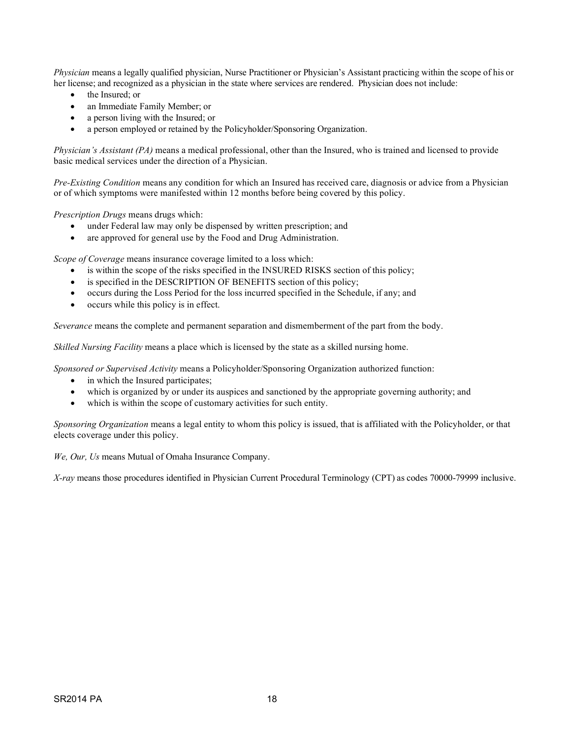*Physician* means a legally qualified physician, Nurse Practitioner or Physician's Assistant practicing within the scope of his or her license; and recognized as a physician in the state where services are rendered. Physician does not include:

- the Insured: or
- an Immediate Family Member; or
- a person living with the Insured; or
- a person employed or retained by the Policyholder/Sponsoring Organization.

*Physician's Assistant (PA)* means a medical professional, other than the Insured, who is trained and licensed to provide basic medical services under the direction of a Physician.

*Pre-Existing Condition* means any condition for which an Insured has received care, diagnosis or advice from a Physician or of which symptoms were manifested within 12 months before being covered by this policy.

*Prescription Drugs* means drugs which:

- under Federal law may only be dispensed by written prescription; and
- are approved for general use by the Food and Drug Administration.

*Scope of Coverage* means insurance coverage limited to a loss which:

- is within the scope of the risks specified in the INSURED RISKS section of this policy;
- is specified in the DESCRIPTION OF BENEFITS section of this policy;
- occurs during the Loss Period for the loss incurred specified in the Schedule, if any; and
- occurs while this policy is in effect.

*Severance* means the complete and permanent separation and dismemberment of the part from the body.

*Skilled Nursing Facility* means a place which is licensed by the state as a skilled nursing home.

*Sponsored or Supervised Activity* means a Policyholder/Sponsoring Organization authorized function:

- in which the Insured participates;
- which is organized by or under its auspices and sanctioned by the appropriate governing authority; and
- which is within the scope of customary activities for such entity.

*Sponsoring Organization* means a legal entity to whom this policy is issued, that is affiliated with the Policyholder, or that elects coverage under this policy.

*We, Our, Us* means Mutual of Omaha Insurance Company.

*X-ray* means those procedures identified in Physician Current Procedural Terminology (CPT) as codes 70000-79999 inclusive.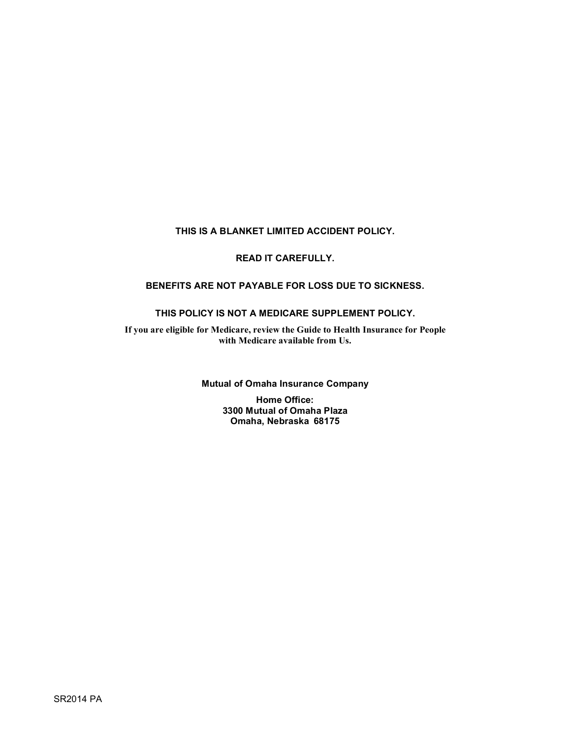# **THIS IS A BLANKET LIMITED ACCIDENT POLICY.**

# **READ IT CAREFULLY.**

### **BENEFITS ARE NOT PAYABLE FOR LOSS DUE TO SICKNESS.**

### **THIS POLICY IS NOT A MEDICARE SUPPLEMENT POLICY.**

**If you are eligible for Medicare, review the Guide to Health Insurance for People with Medicare available from Us.**

**Mutual of Omaha Insurance Company**

**Home Office: 3300 Mutual of Omaha Plaza Omaha, Nebraska 68175**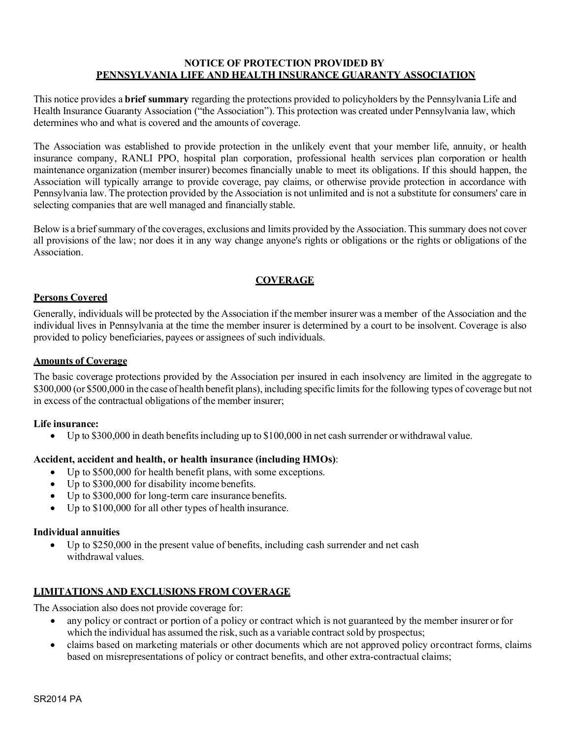#### **NOTICE OF PROTECTION PROVIDED BY PENNSYLVANIA LIFE AND HEALTH INSURANCE GUARANTY ASSOCIATION**

This notice provides a **brief summary** regarding the protections provided to policyholders by the Pennsylvania Life and Health Insurance Guaranty Association ("the Association"). This protection was created under Pennsylvania law, which determines who and what is covered and the amounts of coverage.

The Association was established to provide protection in the unlikely event that your member life, annuity, or health insurance company, RANLI PPO, hospital plan corporation, professional health services plan corporation or health maintenance organization (member insurer) becomes financially unable to meet its obligations. If this should happen, the Association will typically arrange to provide coverage, pay claims, or otherwise provide protection in accordance with Pennsylvania law. The protection provided by the Association is not unlimited and is not a substitute for consumers' care in selecting companies that are well managed and financially stable.

Below is a brief summary of the coverages, exclusions and limits provided by the Association. This summary does not cover all provisions of the law; nor does it in any way change anyone's rights or obligations or the rights or obligations of the Association.

# **COVERAGE**

### **Persons Covered**

Generally, individuals will be protected by the Association if the member insurer was a member of the Association and the individual lives in Pennsylvania at the time the member insurer is determined by a court to be insolvent. Coverage is also provided to policy beneficiaries, payees or assignees of such individuals.

### **Amounts of Coverage**

The basic coverage protections provided by the Association per insured in each insolvency are limited in the aggregate to \$300,000 (or \$500,000 in the case of health benefit plans), including specific limits for the following types of coverage but not in excess of the contractual obligations of the member insurer;

### **Life insurance:**

• Up to \$300,000 in death benefits including up to \$100,000 in net cash surrender or withdrawal value.

### **Accident, accident and health, or health insurance (including HMOs)**:

- Up to \$500,000 for health benefit plans, with some exceptions.
- Up to \$300,000 for disability income benefits.
- Up to \$300,000 for long-term care insurance benefits.
- Up to \$100,000 for all other types of health insurance.

### **Individual annuities**

• Up to \$250,000 in the present value of benefits, including cash surrender and net cash withdrawal values.

# **LIMITATIONS AND EXCLUSIONS FROM COVERAGE**

The Association also does not provide coverage for:

- any policy or contract or portion of a policy or contract which is not guaranteed by the member insurer or for which the individual has assumed the risk, such as a variable contract sold by prospectus;
- claims based on marketing materials or other documents which are not approved policy orcontract forms, claims based on misrepresentations of policy or contract benefits, and other extra-contractual claims;